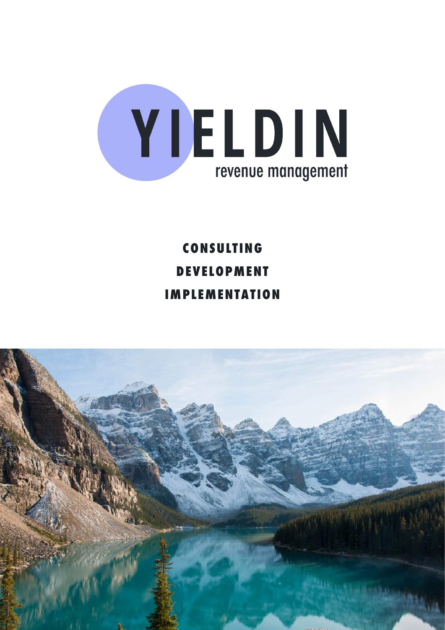

**CONSULTING DEVELOPMENT IMPLEMENTATION**

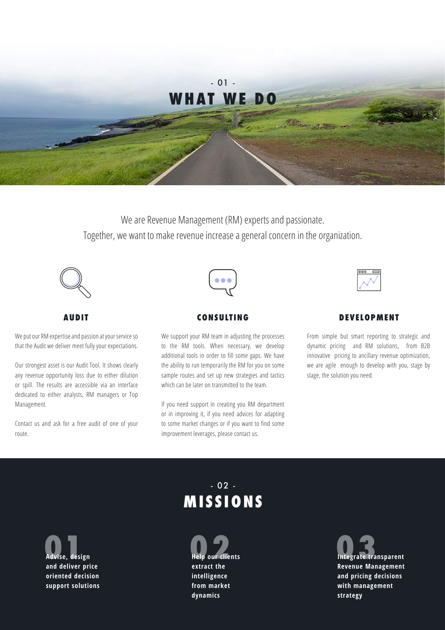

We are Revenue Management (RM) experts and passionate. Together, we want to make revenue increase a general concern in the organization.



**AUDIT**

We put our RM expertise and passion at your service so that the Audit we deliver meet fully your expectations.

Our strongest asset is our Audit Tool. It shows clearly any revenue opportunity loss due to either dilution or spill. The results are accessible via an interface dedicated to either analysts, RM managers or Top Management.

Contact us and ask for a free audit of one of your route.



### **CONSULTING**

We support your RM team in adjusting the processes to the RM tools. When necessary, we develop additional tools in order to fill some gaps. We have the ability to run temporarily the RM for you on some sample routes and set up new strategies and tactics which can be later on transmitted to the team.

If you need support in creating you RM department or in improving it, if you need advices for adapting to some market changes or if you want to find some improvement leverages, please contact us.

### **DEVELOPMENT**

From simple but smart reporting to strategic and dynamic pricing and RM solutions, from B2B innovative pricing to ancillary revenue optimization, we are agile enough to develop with you, stage by stage, the solution you need.

# - 02 - **MISSIONS**

**Advise, design 01 and deliver price oriented decision support solutions** **Help our clients extract the intelligence from market dynamics**

**Integrate transparent 03Revenue Management and pricing decisions with management strategy**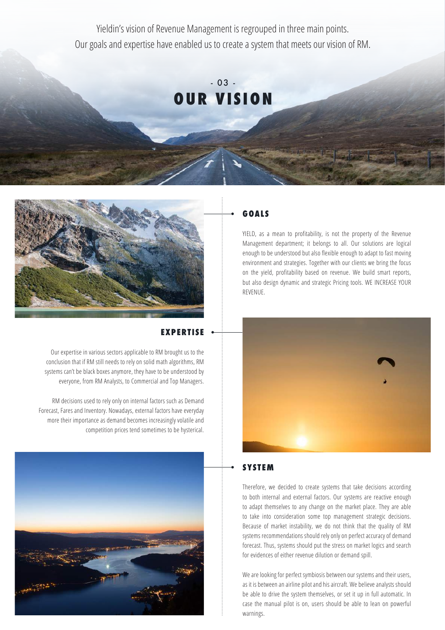Yieldin's vision of Revenue Management is regrouped in three main points. Our goals and expertise have enabled us to create a system that meets our vision of RM.





## **EXPERTISE**

Our expertise in various sectors applicable to RM brought us to the conclusion that if RM still needs to rely on solid math algorithms, RM systems can't be black boxes anymore, they have to be understood by everyone, from RM Analysts, to Commercial and Top Managers.

RM decisions used to rely only on internal factors such as Demand Forecast, Fares and Inventory. Nowadays, external factors have everyday more their importance as demand becomes increasingly volatile and competition prices tend sometimes to be hysterical.



### **GOALS**

YIELD, as a mean to profitability, is not the property of the Revenue Management department; it belongs to all. Our solutions are logical enough to be understood but also flexible enough to adapt to fast moving environment and strategies. Together with our clients we bring the focus on the yield, profitability based on revenue. We build smart reports, but also design dynamic and strategic Pricing tools. WE INCREASE YOUR REVENUE.



### **SYSTEM**

Therefore, we decided to create systems that take decisions according to both internal and external factors. Our systems are reactive enough to adapt themselves to any change on the market place. They are able to take into consideration some top management strategic decisions. Because of market instability, we do not think that the quality of RM systems recommendations should rely only on perfect accuracy of demand forecast. Thus, systems should put the stress on market logics and search for evidences of either revenue dilution or demand spill.

We are looking for perfect symbiosis between our systems and their users, as it is between an airline pilot and his aircraft. We believe analysts should be able to drive the system themselves, or set it up in full automatic. In case the manual pilot is on, users should be able to lean on powerful warnings.